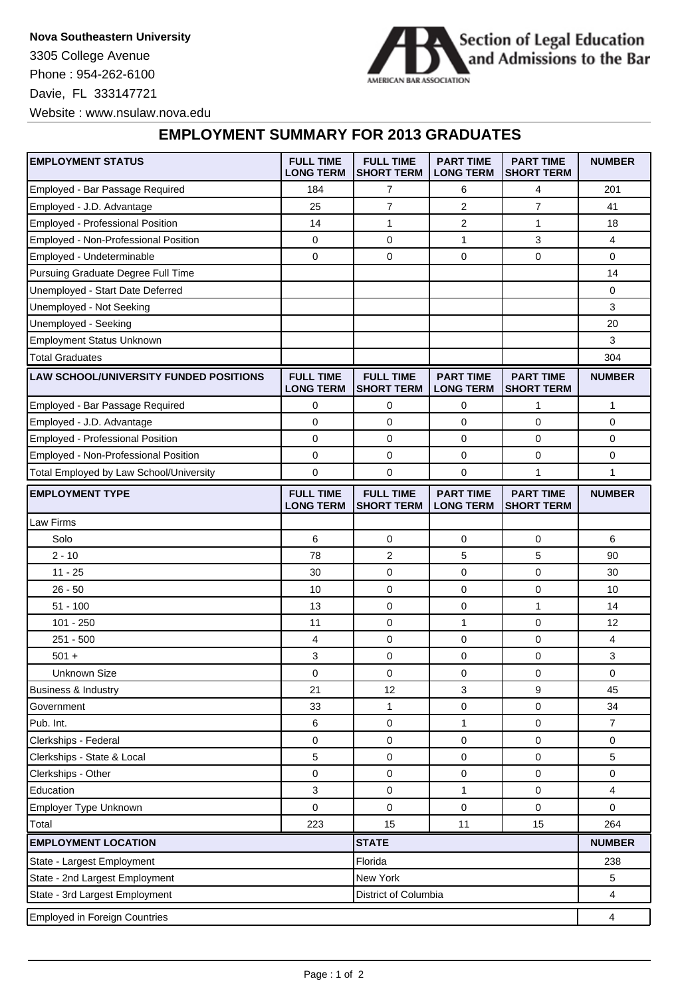Davie, FL 333147721 Website : www.nsulaw.nova.edu Phone : 954-262-6100 **Nova Southeastern University** 3305 College Avenue



## **EMPLOYMENT SUMMARY FOR 2013 GRADUATES**

| <b>EMPLOYMENT STATUS</b>                               | <b>FULL TIME</b><br><b>LONG TERM</b> | <b>FULL TIME</b><br><b>SHORT TERM</b> | <b>PART TIME</b><br><b>LONG TERM</b> | <b>PART TIME</b><br><b>SHORT TERM</b> | <b>NUMBER</b> |
|--------------------------------------------------------|--------------------------------------|---------------------------------------|--------------------------------------|---------------------------------------|---------------|
| Employed - Bar Passage Required                        | 184                                  | 7                                     | 6                                    | 4                                     | 201           |
| Employed - J.D. Advantage                              | 25                                   | $\overline{7}$                        | $\overline{2}$                       | $\overline{7}$                        | 41            |
| Employed - Professional Position                       | 14                                   | 1                                     | 2                                    | 1                                     | 18            |
| Employed - Non-Professional Position                   | 0                                    | 0                                     | $\mathbf{1}$                         | 3                                     | 4             |
| Employed - Undeterminable                              | 0                                    | 0                                     | 0                                    | 0                                     | 0             |
| Pursuing Graduate Degree Full Time                     |                                      |                                       |                                      |                                       | 14            |
| Unemployed - Start Date Deferred                       |                                      |                                       |                                      |                                       | 0             |
| Unemployed - Not Seeking                               |                                      |                                       |                                      |                                       | 3             |
| Unemployed - Seeking                                   |                                      |                                       |                                      |                                       | 20            |
| <b>Employment Status Unknown</b>                       |                                      |                                       |                                      |                                       | 3             |
| <b>Total Graduates</b>                                 |                                      |                                       |                                      |                                       | 304           |
| <b>LAW SCHOOL/UNIVERSITY FUNDED POSITIONS</b>          | <b>FULL TIME</b><br><b>LONG TERM</b> | <b>FULL TIME</b><br><b>SHORT TERM</b> | <b>PART TIME</b><br><b>LONG TERM</b> | <b>PART TIME</b><br><b>SHORT TERM</b> | <b>NUMBER</b> |
| Employed - Bar Passage Required                        | 0                                    | 0                                     | 0                                    | 1                                     | 1             |
| Employed - J.D. Advantage                              | 0                                    | $\mathbf 0$                           | 0                                    | 0                                     | 0             |
| <b>Employed - Professional Position</b>                | 0                                    | 0                                     | 0                                    | 0                                     | 0             |
| Employed - Non-Professional Position                   | 0                                    | 0                                     | 0                                    | 0                                     | 0             |
| Total Employed by Law School/University                | $\mathbf 0$                          | 0                                     | 0                                    | 1                                     | 1             |
| <b>EMPLOYMENT TYPE</b>                                 | <b>FULL TIME</b><br><b>LONG TERM</b> | <b>FULL TIME</b><br><b>SHORT TERM</b> | <b>PART TIME</b><br><b>LONG TERM</b> | <b>PART TIME</b><br><b>SHORT TERM</b> | <b>NUMBER</b> |
| Law Firms                                              |                                      |                                       |                                      |                                       |               |
| Solo                                                   | 6                                    | 0                                     | 0                                    | 0                                     | 6             |
| $2 - 10$                                               | 78                                   | 2                                     | 5                                    | 5                                     | 90            |
| $11 - 25$                                              | 30                                   | 0                                     | 0                                    | 0                                     | 30            |
| $26 - 50$                                              | 10                                   | 0                                     | 0                                    | 0                                     | 10            |
| $51 - 100$                                             | 13                                   | 0                                     | 0                                    | $\mathbf{1}$                          | 14            |
| $101 - 250$                                            | 11                                   | 0                                     | 1                                    | $\mathbf 0$                           | 12            |
| $251 - 500$                                            | 4                                    | 0                                     | 0                                    | 0                                     | 4             |
| $501 +$                                                | 3                                    | 0                                     | 0                                    | 0                                     | 3             |
| <b>Unknown Size</b>                                    | 0                                    | 0                                     | 0                                    | 0                                     | 0             |
| Business & Industry                                    | 21                                   | 12                                    | 3                                    | 9                                     | 45            |
| Government                                             | 33                                   | $\mathbf{1}$                          | 0                                    | 0                                     | 34            |
| Pub. Int.                                              | 6                                    | 0                                     | 1                                    | 0                                     | 7             |
| Clerkships - Federal                                   | 0                                    | 0                                     | 0                                    | 0                                     | 0             |
| Clerkships - State & Local                             | 5                                    | 0                                     | 0                                    | 0                                     | 5             |
| Clerkships - Other                                     | 0                                    | 0                                     | 0                                    | $\pmb{0}$                             | 0             |
| Education                                              | 3                                    | 0                                     | 1                                    | 0                                     | 4             |
| Employer Type Unknown                                  | $\pmb{0}$                            | 0                                     | $\mathsf 0$                          | $\pmb{0}$                             | $\mathbf 0$   |
| Total                                                  | 223                                  | 15                                    | 11                                   | 15                                    | 264           |
| <b>EMPLOYMENT LOCATION</b><br><b>STATE</b>             |                                      |                                       |                                      |                                       | <b>NUMBER</b> |
| State - Largest Employment                             | Florida                              |                                       |                                      | 238                                   |               |
| State - 2nd Largest Employment                         | New York                             |                                       |                                      | 5                                     |               |
| State - 3rd Largest Employment<br>District of Columbia |                                      |                                       |                                      |                                       | 4             |
| <b>Employed in Foreign Countries</b>                   |                                      |                                       |                                      |                                       | 4             |